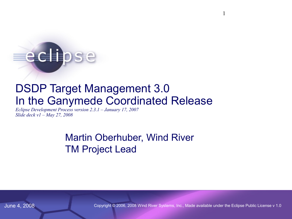# edlipse

# DSDP Target Management 3.0 In the Ganymede Coordinated Release

*[Eclipse Development Process version 2.3.1 – January 17, 2007](http://www.eclipse.org/projects/slides/TM-IP_log_1.0.csv) Slide deck v1 – May 27, 2008*

> Martin Oberhuber, Wind River TM Project Lead

June 4, 2008 Copyright © 2006, 2008 Wind River Systems, Inc., Made available under the Eclipse Public License v 1.0

1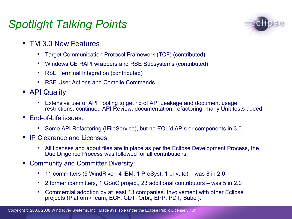# *Spotlight Talking Points*



- **TM 3.0 New Features** 
	- Target Communication Protocol Framework (TCF) (contributed)
	- Windows CE RAPI wrappers and RSE Subsystems (contributed)
	- **RSE Terminal Integration (contributed)**
	- **RSE User Actions and Compile Commands**
- **API Quality:** 
	- Extensive use of API Tooling to get rid of API Leakage and document usage restrictions; continued API Review, documentation, refactoring; many Unit tests added.
- **End-of-Life issues:** 
	- Some API Refactoring (IFileService), but no EOL'd APIs or components in 3.0
- **IP Clearance and Licenses:** 
	- All licenses and about files are in place as per the Eclipse Development Process, the Due Diligence Process was followed for all contributions.
- **EXECOMMUNITY AND COMMITTER DIVERSITY:** 
	- 11 committers (5 WindRiver, 4 IBM, 1 ProSyst, 1 private) was 8 in 2.0
	- 2 former committers, 1 GSoC project, 23 additional contributors was 5 in 2.0
	- Commercial adoption by at least 13 companies. Involvement with other Eclipse projects (Platform/Team, ECF, CDT, Orbit, EPP, PDT, Babel).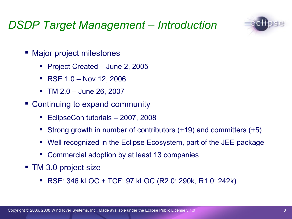# *DSDP Target Management – Introduction*



- Major project milestones
	- Project Created June 2, 2005
	- $\textsf{RSE} 1.0 \textsf{Nov} 12, 2006$
	- TM 2.0 June 26, 2007
- Continuing to expand community
	- EclipseCon tutorials 2007, 2008
	- Strong growth in number of contributors (+19) and committers (+5)
	- Well recognized in the Eclipse Ecosystem, part of the JEE package
	- Commercial adoption by at least 13 companies
- TM 3.0 project size
	- RSE: 346 kLOC + TCF: 97 kLOC (R2.0: 290k, R1.0: 242k)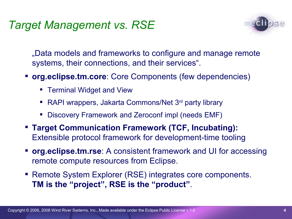# *Target Management vs. RSE*



"Data models and frameworks to configure and manage remote systems, their connections, and their services".

- **org.eclipse.tm.core**: Core Components (few dependencies)
	- **Terminal Widget and View**
	- RAPI wrappers, Jakarta Commons/Net 3<sup>rd</sup> party library
	- Discovery Framework and Zeroconf impl (needs EMF)
- **Target Communication Framework (TCF, Incubating):** Extensible protocol framework for development-time tooling
- **org.eclipse.tm.rse**: A consistent framework and UI for accessing remote compute resources from Eclipse.
- Remote System Explorer (RSE) integrates core components. **TM is the "project", RSE is the "product"**.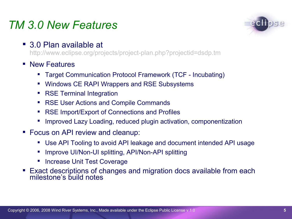# *TM 3.0 New Features*

■ 3.0 Plan available at

http://www.eclipse.org/projects/project-plan.php?projectid=dsdp.tm

- **New Features** 
	- Target Communication Protocol Framework (TCF Incubating)
	- Windows CE RAPI Wrappers and RSE Subsystems
	- RSE Terminal Integration
	- **RSE User Actions and Compile Commands**
	- RSE Import/Export of Connections and Profiles
	- Improved Lazy Loading, reduced plugin activation, componentization
- Focus on API review and cleanup:
	- Use API Tooling to avoid API leakage and document intended API usage
	- Improve UI/Non-UI splitting, API/Non-API splitting
	- Increase Unit Test Coverage
- Exact descriptions of changes and migration docs available from each milestone's build notes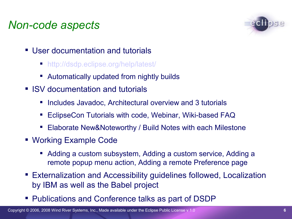# *Non-code aspects*



- User documentation and tutorials
	- [http://dsdp.eclipse.org/help/latest/](http://www.eclipse.org/dsdp/tm/development/tm_project_plan_2_0.html)
	- Automatically updated from nightly builds
- **ISV** documentation and tutorials
	- **Includes Javadoc, Architectural overview and 3 tutorials**
	- EclipseCon Tutorials with code, Webinar, Wiki-based FAQ
	- Elaborate New&Noteworthy / Build Notes with each Milestone
- Working Example Code
	- Adding a custom subsystem, Adding a custom service, Adding a remote popup menu action, Adding a remote Preference page
- Externalization and Accessibility guidelines followed, Localization by IBM as well as the Babel project
- **Publications and Conference talks as part of DSDP**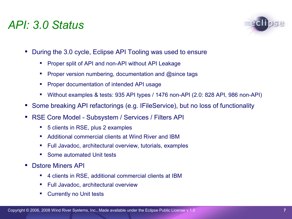## *API: 3.0 Status*



- During the 3.0 cycle, Eclipse API Tooling was used to ensure
	- **Proper split of API and non-API without API Leakage**
	- **Proper version numbering, documentation and @since tags**
	- **Proper documentation of intended API usage**
	- Without examples & tests: 935 API types / 1476 non-API (2.0: 828 API, 986 non-API)
- Some breaking API refactorings (e.g. IFileService), but no loss of functionality
- RSE Core Model Subsystem / Services / Filters API
	- 5 clients in RSE, plus 2 examples
	- Additional commercial clients at Wind River and IBM
	- Full Javadoc, architectural overview, tutorials, examples
	- **Some automated Unit tests**
- Dstore Miners API
	- 4 clients in RSE, additional commercial clients at IBM
	- **Full Javadoc, architectural overview**
	- **Currently no Unit tests**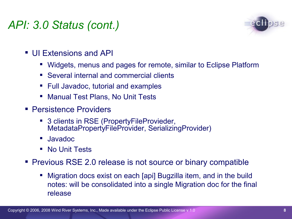# *API: 3.0 Status (cont.)*



- UI Extensions and API
	- Widgets, menus and pages for remote, similar to Eclipse Platform
	- Several internal and commercial clients
	- **Full Javadoc, tutorial and examples**
	- Manual Test Plans, No Unit Tests
- **Persistence Providers** 
	- 3 clients in RSE (PropertyFileProvieder, MetadataPropertyFileProvider, SerializingProvider)
	- Javadoc
	- No Unit Tests
- **Previous RSE 2.0 release is not source or binary compatible** 
	- Migration docs exist on each [api] Bugzilla item, and in the build notes: will be consolidated into a single Migration doc for the final release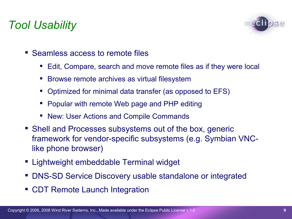# *Tool Usability*



- Seamless access to remote files
	- Edit, Compare, search and move remote files as if they were local
	- **Browse remote archives as virtual filesystem**
	- Optimized for minimal data transfer (as opposed to EFS)
	- **Popular with remote Web page and PHP editing**
	- New: User Actions and Compile Commands
- Shell and Processes subsystems out of the box, generic framework for vendor-specific subsystems (e.g. Symbian VNClike phone browser)
- Lightweight embeddable Terminal widget
- DNS-SD Service Discovery usable standalone or integrated
- **CDT Remote Launch Integration**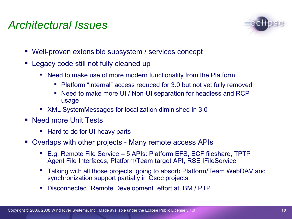# *Architectural Issues*



- Well-proven extensible subsystem / services concept
- Legacy code still not fully cleaned up
	- Need to make use of more modern functionality from the Platform
		- Platform "internal" access reduced for 3.0 but not yet fully removed
		- Need to make more UI / Non-UI separation for headless and RCP usage
	- XML SystemMessages for localization diminished in 3.0
- Need more Unit Tests
	- Hard to do for UI-heavy parts
- Overlaps with other projects Many remote access APIs
	- E.g. Remote File Service 5 APIs: Platform EFS, ECF fileshare, TPTP Agent File Interfaces, Platform/Team target API, RSE IFileService
	- Talking with all those projects; going to absorb Platform/Team WebDAV and synchronization support partially in Gsoc projects
	- Disconnected "Remote Development" effort at IBM / PTP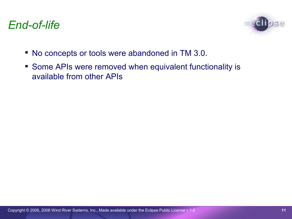# *End-of-life*



- No concepts or tools were abandoned in TM 3.0.
- **Some APIs were removed when equivalent functionality is** available from other APIs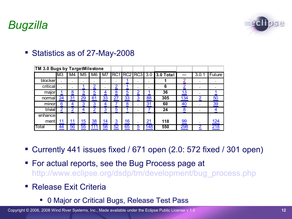

# *Bugzilla*

| TM 3.0 Bugs by TargetMilestone |                |    |                |                |  |  |   |                              |     |      |       |
|--------------------------------|----------------|----|----------------|----------------|--|--|---|------------------------------|-----|------|-------|
|                                | M <sub>3</sub> | M4 | M <sub>5</sub> | M <sub>6</sub> |  |  |   | M7 RC1 RC2 RC3 3.0 3.0 Total | --- | 3.0. | uture |
| blocker                        |                |    |                |                |  |  | ٠ |                              |     |      |       |
| critical                       |                |    |                |                |  |  |   |                              |     |      |       |
| maic                           |                |    |                |                |  |  |   | 36                           |     |      |       |

#### ■ Statistics as of 27-May-2008

Currently 441 issues fixed / 671 open (2.0: 572 fixed / 301 open)

normal 24 31 29 61 33 27 33 3 88 **305** 134 2 50 minor 6 4 3 3 4 7 8 1 31 60 40 . 39 trivial 2 2 4 2 3 5 1 . 7 **24** 8 . 4

ment 11 11 15 38 14 3 16 21 118 99 . 124 Total 44 56 55 111 58 52 65 5 148 **550** 298 2 218

- For actual reports, see the Bug Process page at [http://www.eclipse.org/dsdp/tm/development/bug\\_process.](http://www.eclipse.org/org/press-release/20070403embedded.php)[php](http://www.eclipsecon.org/2007/index.php?page=sub/&id=3651)
- **Release Exit Criteria**

enhance

0 Major or Critical Bugs, Release Test Pass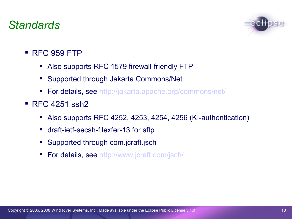# *Standards*



- $RFC 959 FTP$ 
	- Also supports RFC 1579 firewall-friendly FTP
	- Supported through Jakarta Commons/Net
	- **For details, see [http://jakarta.apache.org/commons/net/](http://live.eclipse.org/node/229)**
- **RFC 4251 ssh2** 
	- Also supports RFC 4252, 4253, 4254, 4256 (KI-authentication)
	- draft-ietf-secsh-filexfer-13 for sftp
	- **Supported through com.jcraft.jsch**
	- **For details, see [http://www.](http://wiki.eclipse.org/index.php/TM_Future_Planning)[jcraft](http://wiki.eclipse.org/index.php/TM_3.0_Testing)[.com/](http://www.eclipse.org/projects/project-plan.php?projectid=dsdp.tm)[jsch](http://wiki.eclipse.org/TM_Future_Planning)[/](http://www.eclipse.org/dsdp/tm/development/tm_project_plan_3_0.html)**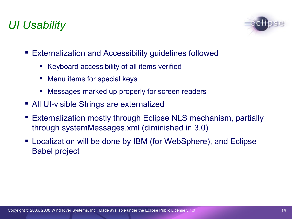# *UI Usability*



- Externalization and Accessibility guidelines followed
	- Keyboard accessibility of all items verified
	- **Menu items for special keys**
	- Messages marked up properly for screen readers
- All UI-visible Strings are externalized
- Externalization mostly through Eclipse NLS mechanism, partially through systemMessages.xml (diminished in 3.0)
- Localization will be done by IBM (for WebSphere), and Eclipse Babel project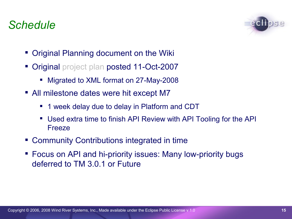# *Schedule*



- Original Planning document on the Wiki
- Original project plan posted 11-Oct-2007
	- Migrated to XML format on 27-May-2008
- All milestone dates were hit except M7
	- 1 week delay due to delay in Platform and CDT
	- Used extra time to finish API Review with API Tooling for the API Freeze
- Community Contributions integrated in time
- Focus on API and hi-priority issues: Many low-priority bugs deferred to TM 3.0.1 or Future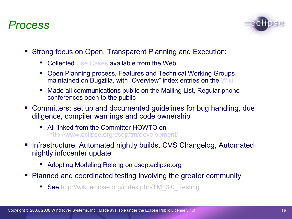### *Process*



- Strong focus on Open, Transparent Planning and Execution:
	- Collected [Use Cases](http://www.eclipse.org/projects/project-plan.php?projectid=dsdp.tm) available from the Web
	- Open Planning process, Features and Technical Working Groups maintained on Bugzilla, with "Overview" index entries on the [Wiki](http://wiki.eclipse.org/index.php/TM_3.0_Testing)
	- Made all communications public on the Mailing List, Regular phone conferences open to the public
- Committers: set up and documented guidelines for bug handling, due diligence, compiler warnings and code ownership
	- All linked from the Committer HOWTO on [http://www.eclipse.org/](http://www.eclipsecon.org/2008/?page=sub/&id=38)[dsdp](http://www.eclipsecon.org/summiteurope2007/index.php?page=detail/&id=21)[/tm/development/](http://wiki.eclipse.org/DSDP/TM/TCF_FAQ)
- Infrastructure: Automated nightly builds, CVS Changelog, Automated nightly infocenter update
	- Adopting Modeling Releng on dsdp.eclipse.org
- Planned and coordinated testing involving the greater community
	- **See** http://wiki.eclipse.org/index.php/TM\_3.0\_Testing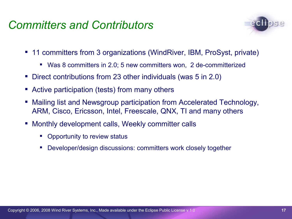# *Committers and Contributors*



- 11 committers from 3 organizations (WindRiver, IBM, ProSyst, private)
	- Was 8 committers in 2.0; 5 new committers won, 2 de-committerized
- Direct contributions from 23 other individuals (was 5 in 2.0)
- Active participation (tests) from many others
- Mailing list and Newsgroup participation from Accelerated Technology, ARM, Cisco, Ericsson, Intel, Freescale, QNX, TI and many others
- Monthly development calls, Weekly committer calls
	- Opportunity to review status
	- Developer/design discussions: committers work closely together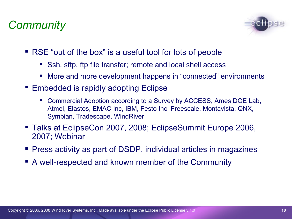# *Community*



- RSE "out of the box" is a useful tool for lots of people
	- Ssh, sftp, ftp file transfer; remote and local shell access
	- More and more development happens in "connected" environments
- Embedded is rapidly adopting Eclipse
	- Commercial Adoption according to a Survey by ACCESS, Ames DOE Lab, Atmel, Elastos, EMAC Inc, IBM, Festo Inc, Freescale, Montavista, QNX, Symbian, Tradescape, WindRiver
- Talks at EclipseCon 2007, 2008; EclipseSummit Europe 2006, 2007; Webinar
- Press activity as part of DSDP, individual articles in magazines
- A well-respected and known member of the Community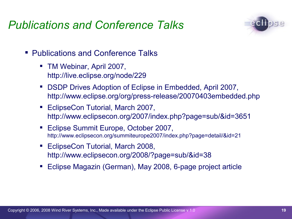# *Publications and Conference Talks*



- Publications and Conference Talks
	- TM Webinar, April 2007, http://live.eclipse.org/node/229
	- DSDP Drives Adoption of Eclipse in Embedded, April 2007, http://www.eclipse.org/org/press-release/20070403embedded.php
	- EclipseCon Tutorial, March 2007, http://www.eclipsecon.org/2007/index.php?page=sub/&id=3651
	- Eclipse Summit Europe, October 2007, http://www.eclipsecon.org/summiteurope2007/index.php?page=detail/&id=21
	- **EclipseCon Tutorial, March 2008,** http://www.eclipsecon.org/2008/?page=sub/&id=38
	- Eclipse Magazin (German), May 2008, 6-page project article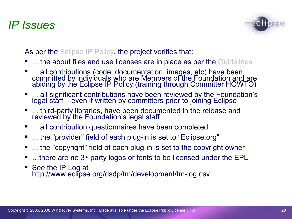# *IP Issues*



As per the Eclipse IP Policy, the project verifies that:

- ... the about files and use licenses are in place as per the Guidelines
- ... all contributions (code, documentation, images, etc) have been committed by individuals who are Members of the Foundation and are abiding by the Eclipse IP Policy (training through Committer HOWTO)
- ... all significant contributions have been reviewed by the Foundation's legal staff – even if written by committers prior to joining Eclipse
- **.... third-party libraries, have been documented in the release and** reviewed by the Foundation's legal staff
- **...** all contribution questionnaires have been completed
- ... the "provider" field of each plug-in is set to "Eclipse.org"
- ... the "copyright" field of each plug-in is set to the copyright owner
- ...there are no 3<sup>rd</sup> party logos or fonts to be licensed under the EPL
- See the IP Log at http://www.eclipse.org/dsdp/tm/development/tm-log.csv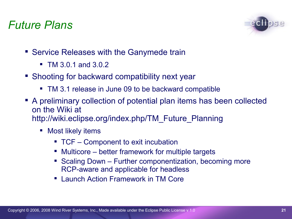### *Future Plans*



- Service Releases with the Ganymede train
	- TM 3.0.1 and 3.0.2
- Shooting for backward compatibility next year
	- **TM 3.1 release in June 09 to be backward compatible**
- A preliminary collection of potential plan items has been collected on the Wiki at http://wiki.eclipse.org/index.php/TM\_Future\_Planning
	- **•** Most likely items
		- TCF Component to exit incubation
		- Multicore better framework for multiple targets
		- Scaling Down Further componentization, becoming more RCP-aware and applicable for headless
		- Launch Action Framework in TM Core